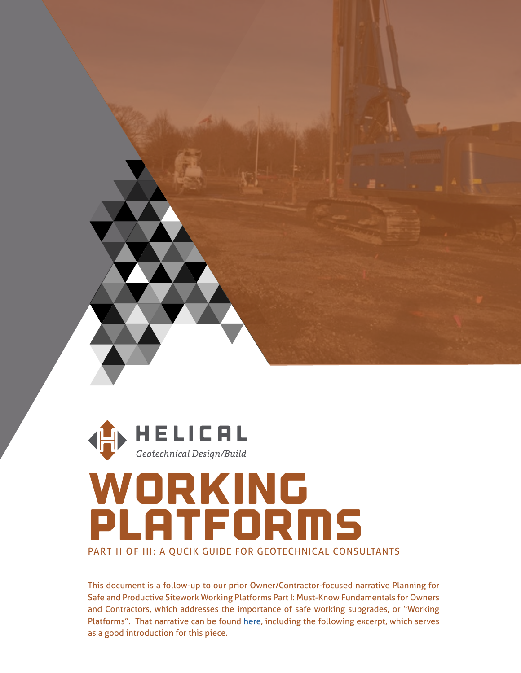



## woRKIng PlATFORMS PART II OF III: A QUCIK GUIDE FOR GEOTECHNICAL CONSULTANTS

This document is a follow-up to our prior Owner/Contractor-focused narrative Planning for Safe and Productive Sitework Working Platforms Part I: Must-Know Fundamentals for Owners and Contractors, which addresses the importance of safe working subgrades, or "Working Platforms". That narrative can be found [here,](http://www.dfi.org/commhome.asp?WPWG) including the following excerpt, which serves as a good introduction for this piece.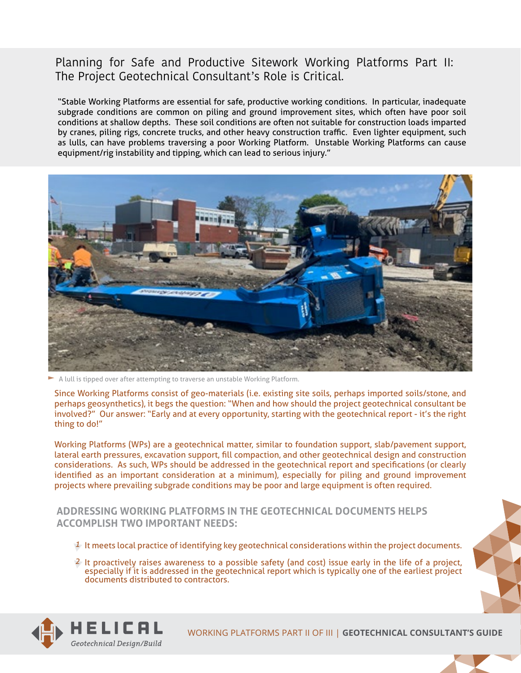## **Planning for Safe and Productive Sitework Working Platforms Part II:**  The Project Geotechnical Consultant's Role is Critical.

"Stable Working Platforms are essential for safe, productive working conditions. In particular, inadequate subgrade conditions are common on piling and ground improvement sites, which often have poor soil conditions at shallow depths. These soil conditions are often not suitable for construction loads imparted by cranes, piling rigs, concrete trucks, and other heavy construction traffic. Even lighter equipment, such as lulls, can have problems traversing a poor Working Platform. Unstable Working Platforms can cause equipment/rig instability and tipping, which can lead to serious injury."



A lull is tipped over after attempting to traverse an unstable Working Platform.

Since Working Platforms consist of geo-materials (i.e. existing site soils, perhaps imported soils/stone, and perhaps geosynthetics), it begs the question: "When and how should the project geotechnical consultant be involved?" Our answer: "Early and at every opportunity, starting with the geotechnical report - it's the right thing to do!"

Working Platforms (WPs) are a geotechnical matter, similar to foundation support, slab/pavement support, [lateral earth pressures, excavation support, fill compaction, and other geotechnical design and construction](http://www.dfi.org/commhome.asp?WPWG)  considerations. As such, WPs should be addressed in the geotechnical report and specifications (or clearly identified as an important consideration at a minimum), especially for piling and ground improvement projects where prevailing subgrade conditions may be poor and large equipment is often required.

## **ADDRESSING WORKING PLATFORMS IN THE GEOTECHNICAL DOCUMENTS HELPS ACCOMPLISH TWO IMPORTANT NEEDS:**

- $1$  It meets local practice of identifying key geotechnical considerations within the project documents.
- 2 It proactively raises awareness to a possible safety (and cost) issue early in the life of a project, especially if it is addressed in the geotechnical report which is typically one of the earliest project documents distributed to contractors.



WORKING PLATFORMS PART II OF III | **GEOTECHNICAL CONSULTANT'S GUIDE**